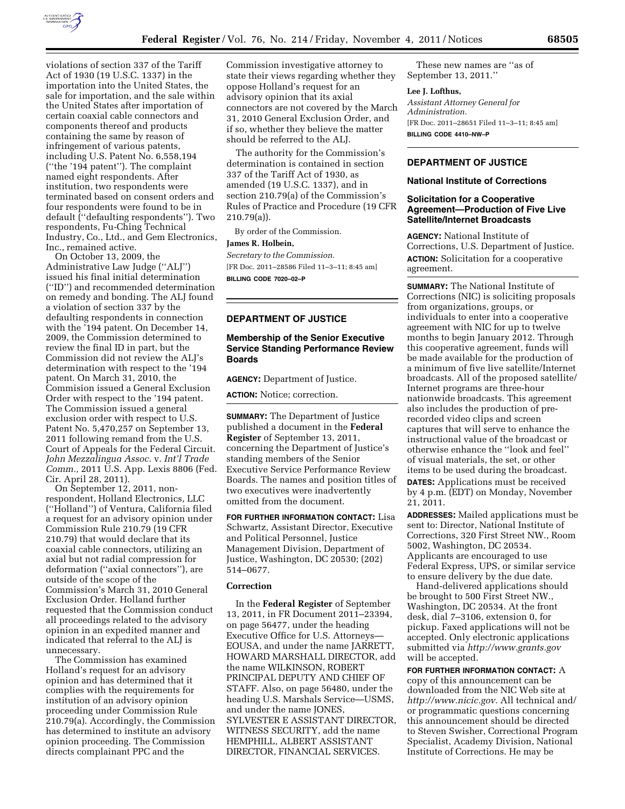

violations of section 337 of the Tariff Act of 1930 (19 U.S.C. 1337) in the importation into the United States, the sale for importation, and the sale within the United States after importation of certain coaxial cable connectors and components thereof and products containing the same by reason of infringement of various patents, including U.S. Patent No. 6,558,194 (''the '194 patent''). The complaint named eight respondents. After institution, two respondents were terminated based on consent orders and four respondents were found to be in default (''defaulting respondents''). Two respondents, Fu-Ching Technical Industry, Co., Ltd., and Gem Electronics, Inc., remained active.

On October 13, 2009, the Administrative Law Judge (''ALJ'') issued his final initial determination (''ID'') and recommended determination on remedy and bonding. The ALJ found a violation of section 337 by the defaulting respondents in connection with the '194 patent. On December 14, 2009, the Commission determined to review the final ID in part, but the Commission did not review the ALJ's determination with respect to the '194 patent. On March 31, 2010, the Commision issued a General Exclusion Order with respect to the '194 patent. The Commission issued a general exclusion order with respect to U.S. Patent No. 5,470,257 on September 13, 2011 following remand from the U.S. Court of Appeals for the Federal Circuit. *John Mezzalingua Assoc.* v. *Int'l Trade Comm.,* 2011 U.S. App. Lexis 8806 (Fed. Cir. April 28, 2011).

On September 12, 2011, nonrespondent, Holland Electronics, LLC (''Holland'') of Ventura, California filed a request for an advisory opinion under Commission Rule 210.79 (19 CFR 210.79) that would declare that its coaxial cable connectors, utilizing an axial but not radial compression for deformation (''axial connectors''), are outside of the scope of the Commission's March 31, 2010 General Exclusion Order. Holland further requested that the Commission conduct all proceedings related to the advisory opinion in an expedited manner and indicated that referral to the ALJ is unnecessary.

The Commission has examined Holland's request for an advisory opinion and has determined that it complies with the requirements for institution of an advisory opinion proceeding under Commission Rule 210.79(a). Accordingly, the Commission has determined to institute an advisory opinion proceeding. The Commission directs complainant PPC and the

Commission investigative attorney to state their views regarding whether they oppose Holland's request for an advisory opinion that its axial connectors are not covered by the March 31, 2010 General Exclusion Order, and if so, whether they believe the matter should be referred to the ALJ.

The authority for the Commission's determination is contained in section 337 of the Tariff Act of 1930, as amended (19 U.S.C. 1337), and in section 210.79(a) of the Commission's Rules of Practice and Procedure (19 CFR 210.79(a)).

By order of the Commission.

### **James R. Holbein,**

*Secretary to the Commission.*  [FR Doc. 2011–28586 Filed 11–3–11; 8:45 am] **BILLING CODE 7020–02–P** 

# **DEPARTMENT OF JUSTICE**

# **Membership of the Senior Executive Service Standing Performance Review Boards**

**AGENCY:** Department of Justice.

**ACTION:** Notice; correction.

**SUMMARY:** The Department of Justice published a document in the **Federal Register** of September 13, 2011, concerning the Department of Justice's standing members of the Senior Executive Service Performance Review Boards. The names and position titles of two executives were inadvertently omitted from the document.

**FOR FURTHER INFORMATION CONTACT:** Lisa Schwartz, Assistant Director, Executive and Political Personnel, Justice Management Division, Department of Justice, Washington, DC 20530; (202) 514–0677.

### **Correction**

In the **Federal Register** of September 13, 2011, in FR Document 2011–23394, on page 56477, under the heading Executive Office for U.S. Attorneys— EOUSA, and under the name JARRETT, HOWARD MARSHALL DIRECTOR, add the name WILKINSON, ROBERT PRINCIPAL DEPUTY AND CHIEF OF STAFF. Also, on page 56480, under the heading U.S. Marshals Service—USMS, and under the name JONES, SYLVESTER E ASSISTANT DIRECTOR, WITNESS SECURITY, add the name HEMPHILL, ALBERT ASSISTANT DIRECTOR, FINANCIAL SERVICES.

These new names are ''as of September 13, 2011.''

#### **Lee J. Lofthus,**

*Assistant Attorney General for Administration.*  [FR Doc. 2011–28651 Filed 11–3–11; 8:45 am] **BILLING CODE 4410–NW–P** 

# **DEPARTMENT OF JUSTICE**

### **National Institute of Corrections**

### **Solicitation for a Cooperative Agreement—Production of Five Live Satellite/Internet Broadcasts**

**AGENCY:** National Institute of Corrections, U.S. Department of Justice. **ACTION:** Solicitation for a cooperative agreement.

**SUMMARY:** The National Institute of Corrections (NIC) is soliciting proposals from organizations, groups, or individuals to enter into a cooperative agreement with NIC for up to twelve months to begin January 2012. Through this cooperative agreement, funds will be made available for the production of a minimum of five live satellite/Internet broadcasts. All of the proposed satellite/ Internet programs are three-hour nationwide broadcasts. This agreement also includes the production of prerecorded video clips and screen captures that will serve to enhance the instructional value of the broadcast or otherwise enhance the ''look and feel'' of visual materials, the set, or other items to be used during the broadcast.

**DATES:** Applications must be received by 4 p.m. (EDT) on Monday, November 21, 2011.

**ADDRESSES:** Mailed applications must be sent to: Director, National Institute of Corrections, 320 First Street NW., Room 5002, Washington, DC 20534. Applicants are encouraged to use Federal Express, UPS, or similar service to ensure delivery by the due date.

Hand-delivered applications should be brought to 500 First Street NW., Washington, DC 20534. At the front desk, dial 7–3106, extension 0, for pickup. Faxed applications will not be accepted. Only electronic applications submitted via *<http://www.grants.gov>* will be accepted.

**FOR FURTHER INFORMATION CONTACT:** A copy of this announcement can be downloaded from the NIC Web site at *[http://www.nicic.gov.](http://www.nicic.gov)* All technical and/ or programmatic questions concerning this announcement should be directed to Steven Swisher, Correctional Program Specialist, Academy Division, National Institute of Corrections. He may be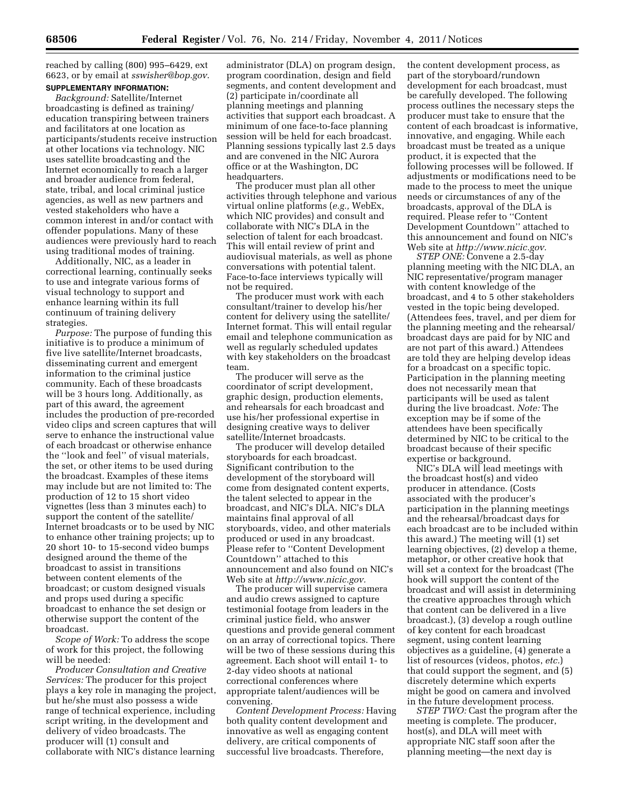reached by calling (800) 995–6429, ext 6623, or by email at *[sswisher@bop.gov](mailto:sswisher@bop.gov)*. **SUPPLEMENTARY INFORMATION:** 

# *Background:* Satellite/Internet broadcasting is defined as training/ education transpiring between trainers and facilitators at one location as participants/students receive instruction at other locations via technology. NIC uses satellite broadcasting and the Internet economically to reach a larger and broader audience from federal, state, tribal, and local criminal justice agencies, as well as new partners and vested stakeholders who have a common interest in and/or contact with offender populations. Many of these audiences were previously hard to reach using traditional modes of training.

Additionally, NIC, as a leader in correctional learning, continually seeks to use and integrate various forms of visual technology to support and enhance learning within its full continuum of training delivery strategies.

*Purpose:* The purpose of funding this initiative is to produce a minimum of five live satellite/Internet broadcasts, disseminating current and emergent information to the criminal justice community. Each of these broadcasts will be 3 hours long. Additionally, as part of this award, the agreement includes the production of pre-recorded video clips and screen captures that will serve to enhance the instructional value of each broadcast or otherwise enhance the ''look and feel'' of visual materials, the set, or other items to be used during the broadcast. Examples of these items may include but are not limited to: The production of 12 to 15 short video vignettes (less than 3 minutes each) to support the content of the satellite/ Internet broadcasts or to be used by NIC to enhance other training projects; up to 20 short 10- to 15-second video bumps designed around the theme of the broadcast to assist in transitions between content elements of the broadcast; or custom designed visuals and props used during a specific broadcast to enhance the set design or otherwise support the content of the broadcast.

*Scope of Work:* To address the scope of work for this project, the following will be needed:

*Producer Consultation and Creative Services:* The producer for this project plays a key role in managing the project, but he/she must also possess a wide range of technical experience, including script writing, in the development and delivery of video broadcasts. The producer will (1) consult and collaborate with NIC's distance learning

administrator (DLA) on program design, program coordination, design and field segments, and content development and (2) participate in/coordinate all planning meetings and planning activities that support each broadcast. A minimum of one face-to-face planning session will be held for each broadcast. Planning sessions typically last 2.5 days and are convened in the NIC Aurora office or at the Washington, DC headquarters.

The producer must plan all other activities through telephone and various virtual online platforms (*e.g.,* WebEx, which NIC provides) and consult and collaborate with NIC's DLA in the selection of talent for each broadcast. This will entail review of print and audiovisual materials, as well as phone conversations with potential talent. Face-to-face interviews typically will not be required.

The producer must work with each consultant/trainer to develop his/her content for delivery using the satellite/ Internet format. This will entail regular email and telephone communication as well as regularly scheduled updates with key stakeholders on the broadcast team.

The producer will serve as the coordinator of script development, graphic design, production elements, and rehearsals for each broadcast and use his/her professional expertise in designing creative ways to deliver satellite/Internet broadcasts.

The producer will develop detailed storyboards for each broadcast. Significant contribution to the development of the storyboard will come from designated content experts, the talent selected to appear in the broadcast, and NIC's DLA. NIC's DLA maintains final approval of all storyboards, video, and other materials produced or used in any broadcast. Please refer to ''Content Development Countdown'' attached to this announcement and also found on NIC's Web site at *[http://www.nicic.gov.](http://www.nicic.gov)* 

The producer will supervise camera and audio crews assigned to capture testimonial footage from leaders in the criminal justice field, who answer questions and provide general comment on an array of correctional topics. There will be two of these sessions during this agreement. Each shoot will entail 1- to 2-day video shoots at national correctional conferences where appropriate talent/audiences will be convening.

*Content Development Process:* Having both quality content development and innovative as well as engaging content delivery, are critical components of successful live broadcasts. Therefore,

the content development process, as part of the storyboard/rundown development for each broadcast, must be carefully developed. The following process outlines the necessary steps the producer must take to ensure that the content of each broadcast is informative, innovative, and engaging. While each broadcast must be treated as a unique product, it is expected that the following processes will be followed. If adjustments or modifications need to be made to the process to meet the unique needs or circumstances of any of the broadcasts, approval of the DLA is required. Please refer to ''Content Development Countdown'' attached to this announcement and found on NIC's Web site at *[http://www.nicic.gov.](http://www.nicic.gov)* 

*STEP ONE:* Convene a 2.5-day planning meeting with the NIC DLA, an NIC representative/program manager with content knowledge of the broadcast, and 4 to 5 other stakeholders vested in the topic being developed. (Attendees fees, travel, and per diem for the planning meeting and the rehearsal/ broadcast days are paid for by NIC and are not part of this award.) Attendees are told they are helping develop ideas for a broadcast on a specific topic. Participation in the planning meeting does not necessarily mean that participants will be used as talent during the live broadcast. *Note:* The exception may be if some of the attendees have been specifically determined by NIC to be critical to the broadcast because of their specific expertise or background.

NIC's DLA will lead meetings with the broadcast host(s) and video producer in attendance. (Costs associated with the producer's participation in the planning meetings and the rehearsal/broadcast days for each broadcast are to be included within this award.) The meeting will (1) set learning objectives, (2) develop a theme, metaphor, or other creative hook that will set a context for the broadcast (The hook will support the content of the broadcast and will assist in determining the creative approaches through which that content can be delivered in a live broadcast.), (3) develop a rough outline of key content for each broadcast segment, using content learning objectives as a guideline, (4) generate a list of resources (videos, photos, *etc.*) that could support the segment, and (5) discretely determine which experts might be good on camera and involved in the future development process.

*STEP TWO:* Cast the program after the meeting is complete. The producer, host(s), and DLA will meet with appropriate NIC staff soon after the planning meeting—the next day is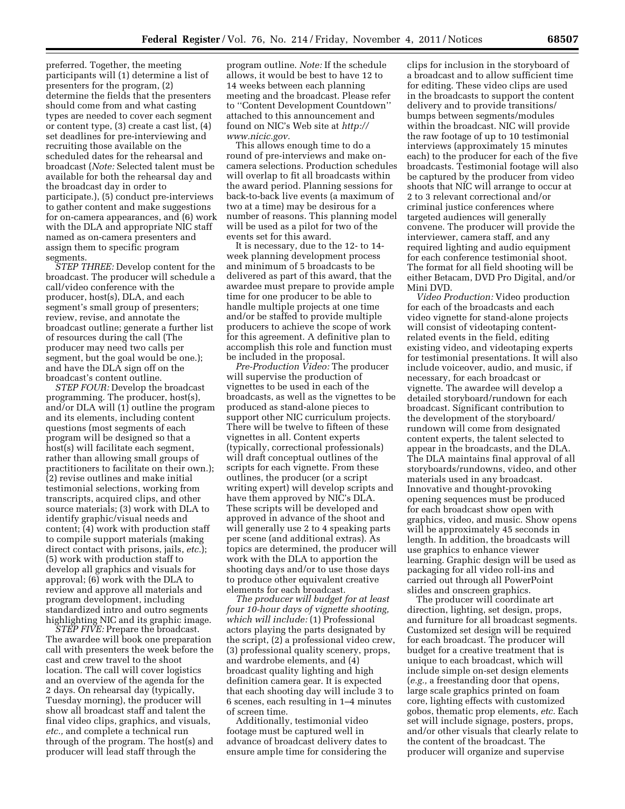preferred. Together, the meeting participants will (1) determine a list of presenters for the program, (2) determine the fields that the presenters should come from and what casting types are needed to cover each segment or content type, (3) create a cast list, (4) set deadlines for pre-interviewing and recruiting those available on the scheduled dates for the rehearsal and broadcast (*Note:* Selected talent must be available for both the rehearsal day and the broadcast day in order to participate.), (5) conduct pre-interviews to gather content and make suggestions for on-camera appearances, and (6) work with the DLA and appropriate NIC staff named as on-camera presenters and assign them to specific program segments.

*STEP THREE:* Develop content for the broadcast. The producer will schedule a call/video conference with the producer, host(s), DLA, and each segment's small group of presenters; review, revise, and annotate the broadcast outline; generate a further list of resources during the call (The producer may need two calls per segment, but the goal would be one.); and have the DLA sign off on the broadcast's content outline.

*STEP FOUR:* Develop the broadcast programming. The producer, host(s), and/or DLA will  $(1)$  outline the program and its elements, including content questions (most segments of each program will be designed so that a host(s) will facilitate each segment, rather than allowing small groups of practitioners to facilitate on their own.); (2) revise outlines and make initial testimonial selections, working from transcripts, acquired clips, and other source materials; (3) work with DLA to identify graphic/visual needs and content; (4) work with production staff to compile support materials (making direct contact with prisons, jails, *etc.*); (5) work with production staff to develop all graphics and visuals for approval; (6) work with the DLA to review and approve all materials and program development, including standardized intro and outro segments highlighting NIC and its graphic image.

*STEP FIVE:* Prepare the broadcast. The awardee will book one preparation call with presenters the week before the cast and crew travel to the shoot location. The call will cover logistics and an overview of the agenda for the 2 days. On rehearsal day (typically, Tuesday morning), the producer will show all broadcast staff and talent the final video clips, graphics, and visuals, *etc.,* and complete a technical run through of the program. The host(s) and producer will lead staff through the

program outline. *Note:* If the schedule allows, it would be best to have 12 to 14 weeks between each planning meeting and the broadcast. Please refer to ''Content Development Countdown'' attached to this announcement and found on NIC's Web site at *[http://](http://www.nicic.gov) [www.nicic.gov.](http://www.nicic.gov)* 

This allows enough time to do a round of pre-interviews and make oncamera selections. Production schedules will overlap to fit all broadcasts within the award period. Planning sessions for back-to-back live events (a maximum of two at a time) may be desirous for a number of reasons. This planning model will be used as a pilot for two of the events set for this award.

It is necessary, due to the 12- to 14 week planning development process and minimum of 5 broadcasts to be delivered as part of this award, that the awardee must prepare to provide ample time for one producer to be able to handle multiple projects at one time and/or be staffed to provide multiple producers to achieve the scope of work for this agreement. A definitive plan to accomplish this role and function must be included in the proposal.

*Pre-Production Video:* The producer will supervise the production of vignettes to be used in each of the broadcasts, as well as the vignettes to be produced as stand-alone pieces to support other NIC curriculum projects. There will be twelve to fifteen of these vignettes in all. Content experts (typically, correctional professionals) will draft conceptual outlines of the scripts for each vignette. From these outlines, the producer (or a script writing expert) will develop scripts and have them approved by NIC's DLA. These scripts will be developed and approved in advance of the shoot and will generally use 2 to 4 speaking parts per scene (and additional extras). As topics are determined, the producer will work with the DLA to apportion the shooting days and/or to use those days to produce other equivalent creative elements for each broadcast.

*The producer will budget for at least four 10-hour days of vignette shooting, which will include:* (1) Professional actors playing the parts designated by the script, (2) a professional video crew, (3) professional quality scenery, props, and wardrobe elements, and (4) broadcast quality lighting and high definition camera gear. It is expected that each shooting day will include 3 to 6 scenes, each resulting in 1–4 minutes of screen time.

Additionally, testimonial video footage must be captured well in advance of broadcast delivery dates to ensure ample time for considering the

clips for inclusion in the storyboard of a broadcast and to allow sufficient time for editing. These video clips are used in the broadcasts to support the content delivery and to provide transitions/ bumps between segments/modules within the broadcast. NIC will provide the raw footage of up to 10 testimonial interviews (approximately 15 minutes each) to the producer for each of the five broadcasts. Testimonial footage will also be captured by the producer from video shoots that NIC will arrange to occur at 2 to 3 relevant correctional and/or criminal justice conferences where targeted audiences will generally convene. The producer will provide the interviewer, camera staff, and any required lighting and audio equipment for each conference testimonial shoot. The format for all field shooting will be either Betacam, DVD Pro Digital, and/or Mini DVD.

*Video Production:* Video production for each of the broadcasts and each video vignette for stand-alone projects will consist of videotaping contentrelated events in the field, editing existing video, and videotaping experts for testimonial presentations. It will also include voiceover, audio, and music, if necessary, for each broadcast or vignette. The awardee will develop a detailed storyboard/rundown for each broadcast. Significant contribution to the development of the storyboard/ rundown will come from designated content experts, the talent selected to appear in the broadcasts, and the DLA. The DLA maintains final approval of all storyboards/rundowns, video, and other materials used in any broadcast. Innovative and thought-provoking opening sequences must be produced for each broadcast show open with graphics, video, and music. Show opens will be approximately 45 seconds in length. In addition, the broadcasts will use graphics to enhance viewer learning. Graphic design will be used as packaging for all video roll-ins and carried out through all PowerPoint slides and onscreen graphics.

The producer will coordinate art direction, lighting, set design, props, and furniture for all broadcast segments. Customized set design will be required for each broadcast. The producer will budget for a creative treatment that is unique to each broadcast, which will include simple on-set design elements (*e.g.,* a freestanding door that opens, large scale graphics printed on foam core, lighting effects with customized gobos, thematic prop elements, *etc.* Each set will include signage, posters, props, and/or other visuals that clearly relate to the content of the broadcast. The producer will organize and supervise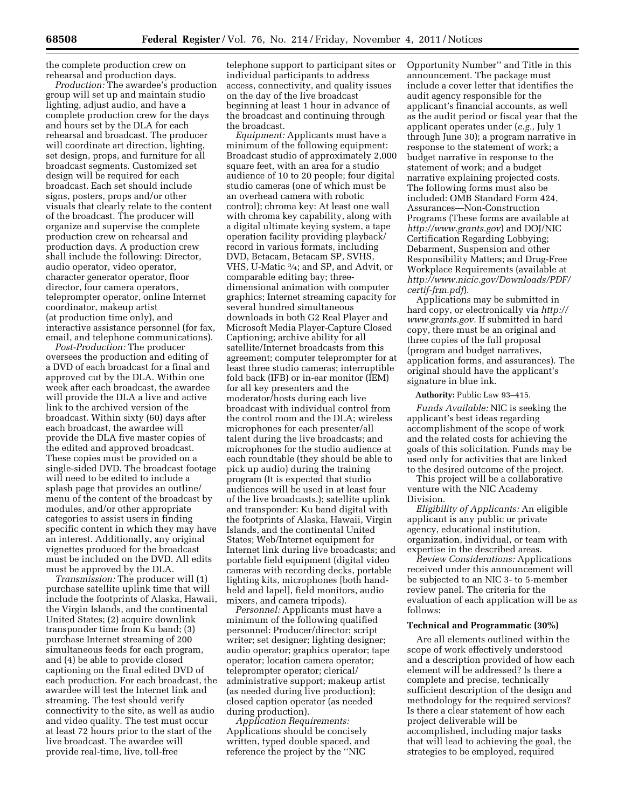the complete production crew on rehearsal and production days.

*Production:* The awardee's production group will set up and maintain studio lighting, adjust audio, and have a complete production crew for the days and hours set by the DLA for each rehearsal and broadcast. The producer will coordinate art direction, lighting, set design, props, and furniture for all broadcast segments. Customized set design will be required for each broadcast. Each set should include signs, posters, props and/or other visuals that clearly relate to the content of the broadcast. The producer will organize and supervise the complete production crew on rehearsal and production days. A production crew shall include the following: Director, audio operator, video operator, character generator operator, floor director, four camera operators, teleprompter operator, online Internet coordinator, makeup artist (at production time only), and interactive assistance personnel (for fax, email, and telephone communications).

*Post-Production:* The producer oversees the production and editing of a DVD of each broadcast for a final and approved cut by the DLA. Within one week after each broadcast, the awardee will provide the DLA a live and active link to the archived version of the broadcast. Within sixty (60) days after each broadcast, the awardee will provide the DLA five master copies of the edited and approved broadcast. These copies must be provided on a single-sided DVD. The broadcast footage will need to be edited to include a splash page that provides an outline/ menu of the content of the broadcast by modules, and/or other appropriate categories to assist users in finding specific content in which they may have an interest. Additionally, any original vignettes produced for the broadcast must be included on the DVD. All edits must be approved by the DLA.

*Transmission:* The producer will (1) purchase satellite uplink time that will include the footprints of Alaska, Hawaii, the Virgin Islands, and the continental United States; (2) acquire downlink transponder time from Ku band; (3) purchase Internet streaming of 200 simultaneous feeds for each program, and (4) be able to provide closed captioning on the final edited DVD of each production. For each broadcast, the awardee will test the Internet link and streaming. The test should verify connectivity to the site, as well as audio and video quality. The test must occur at least 72 hours prior to the start of the live broadcast. The awardee will provide real-time, live, toll-free

telephone support to participant sites or individual participants to address access, connectivity, and quality issues on the day of the live broadcast beginning at least 1 hour in advance of the broadcast and continuing through the broadcast.

*Equipment:* Applicants must have a minimum of the following equipment: Broadcast studio of approximately 2,000 square feet, with an area for a studio audience of 10 to 20 people; four digital studio cameras (one of which must be an overhead camera with robotic control); chroma key: At least one wall with chroma key capability, along with a digital ultimate keying system, a tape operation facility providing playback/ record in various formats, including DVD, Betacam, Betacam SP, SVHS, VHS, U-Matic 3⁄4; and SP, and Advit, or comparable editing bay; threedimensional animation with computer graphics; Internet streaming capacity for several hundred simultaneous downloads in both G2 Real Player and Microsoft Media Player-Capture Closed Captioning; archive ability for all satellite/Internet broadcasts from this agreement; computer teleprompter for at least three studio cameras; interruptible fold back (IFB) or in-ear monitor (IEM) for all key presenters and the moderator/hosts during each live broadcast with individual control from the control room and the DLA; wireless microphones for each presenter/all talent during the live broadcasts; and microphones for the studio audience at each roundtable (they should be able to pick up audio) during the training program (It is expected that studio audiences will be used in at least four of the live broadcasts.); satellite uplink and transponder: Ku band digital with the footprints of Alaska, Hawaii, Virgin Islands, and the continental United States; Web/Internet equipment for Internet link during live broadcasts; and portable field equipment (digital video cameras with recording decks, portable lighting kits, microphones [both handheld and lapel], field monitors, audio mixers, and camera tripods).

*Personnel:* Applicants must have a minimum of the following qualified personnel: Producer/director; script writer; set designer; lighting designer; audio operator; graphics operator; tape operator; location camera operator; teleprompter operator; clerical/ administrative support; makeup artist (as needed during live production); closed caption operator (as needed during production).

*Application Requirements:*  Applications should be concisely written, typed double spaced, and reference the project by the ''NIC

Opportunity Number'' and Title in this announcement. The package must include a cover letter that identifies the audit agency responsible for the applicant's financial accounts, as well as the audit period or fiscal year that the applicant operates under (*e.g.,* July 1 through June 30); a program narrative in response to the statement of work; a budget narrative in response to the statement of work; and a budget narrative explaining projected costs. The following forms must also be included: OMB Standard Form 424, Assurances—Non-Construction Programs (These forms are available at *<http://www.grants.gov>*) and DOJ/NIC Certification Regarding Lobbying; Debarment, Suspension and other Responsibility Matters; and Drug-Free Workplace Requirements (available at *[http://www.nicic.gov/Downloads/PDF/](http://www.nicic.gov/Downloads/PDF/certif-frm.pdf) [certif-frm.pdf](http://www.nicic.gov/Downloads/PDF/certif-frm.pdf)*).

Applications may be submitted in hard copy, or electronically via *[http://](http://www.grants.gov)  [www.grants.gov.](http://www.grants.gov)* If submitted in hard copy, there must be an original and three copies of the full proposal (program and budget narratives, application forms, and assurances). The original should have the applicant's signature in blue ink.

#### **Authority:** Public Law 93–415.

*Funds Available:* NIC is seeking the applicant's best ideas regarding accomplishment of the scope of work and the related costs for achieving the goals of this solicitation. Funds may be used only for activities that are linked to the desired outcome of the project.

This project will be a collaborative venture with the NIC Academy Division.

*Eligibility of Applicants:* An eligible applicant is any public or private agency, educational institution, organization, individual, or team with expertise in the described areas.

*Review Considerations:* Applications received under this announcement will be subjected to an NIC 3- to 5-member review panel. The criteria for the evaluation of each application will be as follows:

### **Technical and Programmatic (30%)**

Are all elements outlined within the scope of work effectively understood and a description provided of how each element will be addressed? Is there a complete and precise, technically sufficient description of the design and methodology for the required services? Is there a clear statement of how each project deliverable will be accomplished, including major tasks that will lead to achieving the goal, the strategies to be employed, required